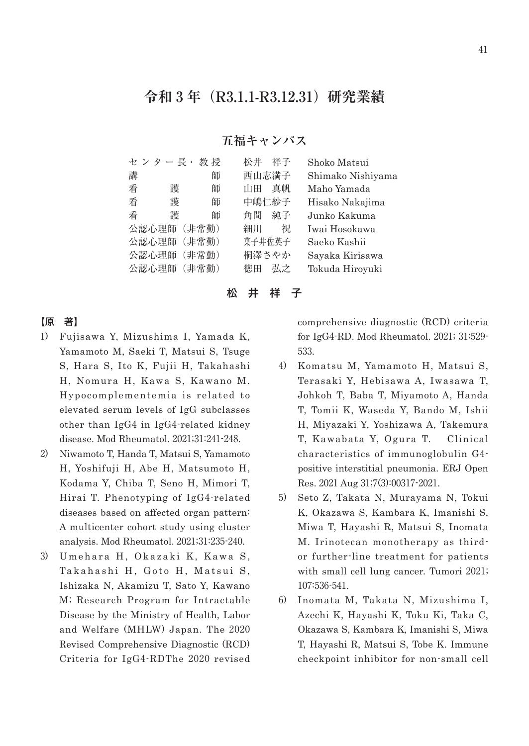# **令和 3 年(R3.1.1-R3.12.31)研究業績**

## **五福キャンパス**

|   | セ ン タ ー 長・  | 教授 | 松井     | 祥子    | Shoko Matsui      |
|---|-------------|----|--------|-------|-------------------|
| 講 |             | 師  |        | 西山志満子 | Shimako Nishiyama |
| 看 | 護           | 師  | th H   | 真帆    | Maho Yamada       |
| 看 | 護           | 師  |        | 中嶋仁紗子 | Hisako Nakajima   |
| 看 | 護           | 師  | 角間     | 純子    | Junko Kakuma      |
|   | 公認心理師 (非常勤) |    | 細川     | 祝     | Iwai Hosokawa     |
|   | 公認心理師 (非常勤) |    | 菓子井佐英子 |       | Saeko Kashii      |
|   | 公認心理師 (非常勤) |    |        | 桐澤さやか | Sayaka Kirisawa   |
|   | 公認心理師 (非常勤) |    | 徳田     | 弘之    | Tokuda Hiroyuki   |
|   |             |    |        |       |                   |

松 井 祥 子

## 【原 著】

- 1) Fujisawa Y, Mizushima I, Yamada K, Yamamoto M, Saeki T, Matsui S, Tsuge S, Hara S, Ito K, Fujii H, Takahashi H, Nomura H, Kawa S, Kawano M. Hypocomplementemia is related to elevated serum levels of IgG subclasses other than IgG4 in IgG4-related kidney disease. Mod Rheumatol. 2021;31:241-248.
- 2) Niwamoto T, Handa T, Matsui S, Yamamoto H, Yoshifuji H, Abe H, Matsumoto H, Kodama Y, Chiba T, Seno H, Mimori T, Hirai T. Phenotyping of IgG4-related diseases based on affected organ pattern: A multicenter cohort study using cluster analysis. Mod Rheumatol. 2021;31:235-240.
- 3) Umehara H, Okazaki K, Kawa S, Takahashi H, Goto H, Matsui S, Ishizaka N, Akamizu T, Sato Y, Kawano M; Research Program for Intractable Disease by the Ministry of Health, Labor and Welfare (MHLW) Japan. The 2020 Revised Comprehensive Diagnostic (RCD) Criteria for IgG4-RDThe 2020 revised

comprehensive diagnostic (RCD) criteria for IgG4-RD. Mod Rheumatol. 2021; 31:529- 533.

- 4) Komatsu M, Yamamoto H, Matsui S, Terasaki Y, Hebisawa A, Iwasawa T, Johkoh T, Baba T, Miyamoto A, Handa T, Tomii K, Waseda Y, Bando M, Ishii H, Miyazaki Y, Yoshizawa A, Takemura T, Kawabata Y, Ogura T. Clinical characteristics of immunoglobulin G4 positive interstitial pneumonia. ERJ Open Res. 2021 Aug 31;7(3):00317-2021.
- 5) Seto Z, Takata N, Murayama N, Tokui K, Okazawa S, Kambara K, Imanishi S, Miwa T, Hayashi R, Matsui S, Inomata M. Irinotecan monotherapy as thirdor further-line treatment for patients with small cell lung cancer. Tumori 2021; 107:536-541.
- 6) Inomata M, Takata N, Mizushima I, Azechi K, Hayashi K, Toku Ki, Taka C, Okazawa S, Kambara K, Imanishi S, Miwa T, Hayashi R, Matsui S, Tobe K. Immune checkpoint inhibitor for non-small cell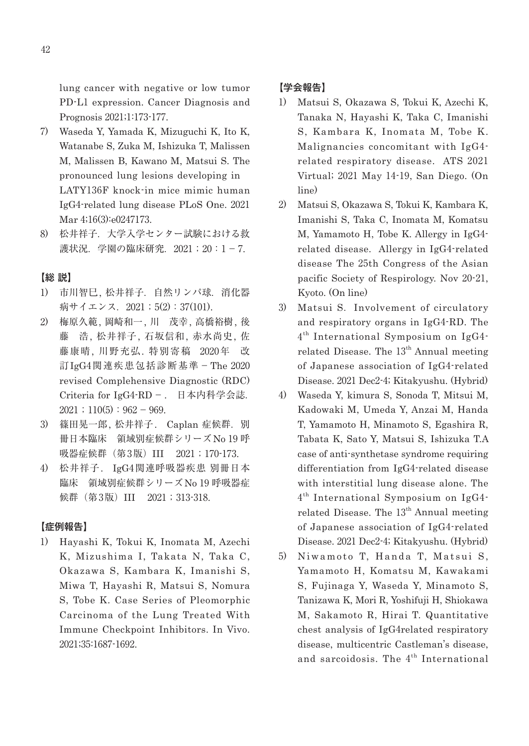lung cancer with negative or low tumor PD-L1 expression. Cancer Diagnosis and Prognosis 2021;1:173-177.

- 7) Waseda Y, Yamada K, Mizuguchi K, Ito K, Watanabe S, Zuka M, Ishizuka T, Malissen M, Malissen B, Kawano M, Matsui S. The pronounced lung lesions developing in LATY136F knock-in mice mimic human IgG4-related lung disease PLoS One. 2021 Mar 4;16(3):e0247173.
- 8) 松井祥子. 大学入学センター試験における救 護状況. 学園の臨床研究. 2021; 20:1-7.

### 【総 説】

- 1) 市川智巳, 松井祥子.自然リンパ球.消化器 病サイエンス. 2021;5(2):37(101).
- 2) 梅原久範, 岡崎和一, 川 茂幸, 高橋裕樹, 後 藤 浩, 松井祥子, 石坂信和, 赤水尚史, 佐 藤康晴, 川野充弘. 特別寄稿 2020年 改 訂IgG4関連疾患包括診断基準-The 2020 revised Complehensive Diagnostic (RDC) Criteria for IgG4-RD-. 日本内科学会誌.  $2021$ ;  $110(5)$ :  $962 - 969$ .
- 3) 篠田晃一郎, 松井祥子. Caplan 症候群. 別 冊日本臨床 領域別症候群シリーズNo 19 呼 吸器症候群(第3版)III 2021;170-173.
- 4) 松井祥子. IgG4関連呼吸器疾患 別冊日本 臨床 領域別症候群シリーズNo 19 呼吸器症 候群 (第 3版) III 2021 ; 313-318.

#### 【症例報告】

1) Hayashi K, Tokui K, Inomata M, Azechi K, Mizushima I, Takata N, Taka C, Okazawa S, Kambara K, Imanishi S, Miwa T, Hayashi R, Matsui S, Nomura S, Tobe K. Case Series of Pleomorphic Carcinoma of the Lung Treated With Immune Checkpoint Inhibitors. In Vivo. 2021;35:1687-1692.

## 【学会報告】

- 1) Matsui S, Okazawa S, Tokui K, Azechi K, Tanaka N, Hayashi K, Taka C, Imanishi S, Kambara K, Inomata M, Tobe K. Malignancies concomitant with IgG4 related respiratory disease. ATS 2021 Virtual; 2021 May 14-19, San Diego. (On line)
- 2) Matsui S, Okazawa S, Tokui K, Kambara K, Imanishi S, Taka C, Inomata M, Komatsu M, Yamamoto H, Tobe K. Allergy in IgG4 related disease. Allergy in IgG4-related disease The 25th Congress of the Asian pacific Society of Respirology. Nov 20-21, Kyoto. (On line)
- 3) Matsui S.Involvement of circulatory and respiratory organs in IgG4-RD. The  $4<sup>th</sup> International Symposium on IgG4$ related Disease. The  $13<sup>th</sup>$  Annual meeting of Japanese association of IgG4-related Disease. 2021 Dec2-4; Kitakyushu. (Hybrid)
- 4) Waseda Y, kimura S, Sonoda T, Mitsui M, Kadowaki M, Umeda Y, Anzai M, Handa T, Yamamoto H, Minamoto S, Egashira R, Tabata K, Sato Y, Matsui S, Ishizuka T.A case of anti-synthetase syndrome requiring differentiation from IgG4-related disease with interstitial lung disease alone. The  $4<sup>th</sup> International Symposium on IgG4$ related Disease. The  $13<sup>th</sup>$  Annual meeting of Japanese association of IgG4-related Disease. 2021 Dec2-4; Kitakyushu. (Hybrid)
- 5) Niwamoto T, Handa T, Matsui S, Yamamoto H, Komatsu M, Kawakami S, Fujinaga Y, Waseda Y, Minamoto S, Tanizawa K, Mori R, Yoshifuji H, Shiokawa M, Sakamoto R, Hirai T. Quantitative chest analysis of IgG4related respiratory disease, multicentric Castleman's disease, and sarcoidosis. The  $4^{\text{th}}$  International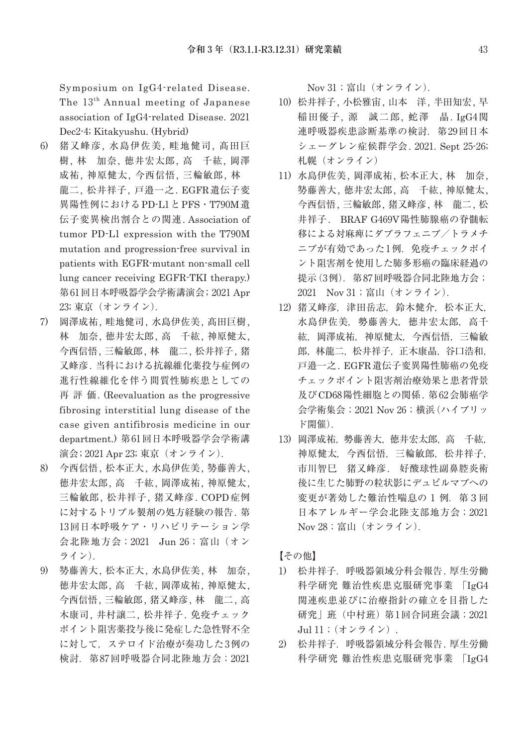Symposium on IgG4-related Disease. The 13th Annual meeting of Japanese association of IgG4-related Disease. 2021 Dec2-4; Kitakyushu. (Hybrid)

- 6) 猪又峰彦, 水島伊佐美, 畦地健司, 髙田巨 樹, 林 加奈, 徳井宏太郎, 高 千紘, 岡澤 成祐, 神原健太, 今西信悟, 三輪敏郎, 林 龍二, 松井祥子, 戸邉一之. EGFR遺伝子変 異陽性例におけるPD-L1とPFS・T790M遺 伝子変異検出割合との関連. Association of tumor PD-L1 expression with the T790M mutation and progression-free survival in patients with EGFR-mutant non-small cell lung cancer receiving EGFR-TKI therapy.) 第 61回日本呼吸器学会学術講演会; 2021 Apr 23; 東京(オンライン).
- 7) 岡澤成祐, 畦地健司, 水島伊佐美, 髙田巨樹, 林 加奈, 徳井宏太郎, 高 千紘, 神原健太, 今西信悟, 三輪敏郎, 林 龍二, 松井祥子, 猪 又峰彦. 当科における抗線維化薬投与症例の 進行性線維化を伴う間質性肺疾患としての 再評価. (Reevaluation as the progressive fibrosing interstitial lung disease of the case given antifibrosis medicine in our department.) 第 61回日本呼吸器学会学術講 演会; 2021 Apr 23; 東京(オンライン).
- 8) 今西信悟, 松本正大, 水島伊佐美, 㔟藤善大, 徳井宏太郎, 高 千紘, 岡澤成祐, 神原健太, 三輪敏郎, 松井祥子, 猪又峰彦. COPD症例 に対するトリプル製剤の処方経験の報告. 第 13回日本呼吸ケア・リハビリテーション学 会北陸地方会;2021 Jun 26;富山(オン ライン).
- 9) 㔟藤善大, 松本正大, 水島伊佐美, 林 加奈, 徳井宏太郎, 高 千紘, 岡澤成祐, 神原健太, 今西信悟, 三輪敏郎, 猪又峰彦, 林 龍二, 高 木康司, 井村譲二, 松井祥子. 免疫チェック ポイント阻害薬投与後に発症した急性腎不全 に対して、ステロイド治療が奏功した3例の 検討.第 87回呼吸器合同北陸地方会;2021

Nov 31;富山(オンライン).

- 10) 松井祥子, 小松雅宙, 山本 洋, 半田知宏, 早 稲田優子, 源 誠二郎, 蛇澤 晶. IgG4関 連呼吸器疾患診断基準の検討. 第29回日本 シェーグレン症候群学会. 2021. Sept 25-26; 札幌(オンライン)
- 11) 水島伊佐美, 岡澤成祐, 松本正大, 林 加奈, 㔟藤善大, 徳井宏太郎, 高 千紘, 神原健太, 今西信悟, 三輪敏郎, 猪又峰彦, 林 龍二, 松 井祥子. BRAF G469V陽性肺腺癌の脊髄転 移による対麻痺にダブラフェニブ/トラメチ ニブが有効であった1例. 免疫チェックポイ ント阻害剤を使用した肺多形癌の臨床経過の 提示(3例). 第 87 回呼吸器合同北陸地方会; 2021 Nov 31;富山(オンライン).
- 12) 猪又峰彦,津田岳志,鈴木健介,松本正大. 水島伊佐美,勢藤善大,徳井宏太郎,高千 紘,岡澤成祐,神原健太,今西信悟,三輪敏 郎,林龍二,松井祥子,正木康晶,谷口浩和, 戸邉一之. EGFR遺伝子変異陽性肺癌の免疫 チェックポイント阻害剤治療効果と患者背景 及びCD68陽性細胞との関係. 第 62会肺癌学 会学術集会;2021 Nov 26;横浜(ハイブリッ ド開催).
- 13) 岡澤成祐,勢藤善大,徳井宏太郎,高 千紘, 神原健太,今西信悟,三輪敏郎,松井祥子, 市川智巳 猪又峰彦. 好酸球性副鼻腔炎術 後に生じた肺野の粒状影にデュピルマブへの 変更が著効した難治性喘息の1例. 第3回 日本アレルギー学会北陸支部地方会;2021 Nov 28;富山(オンライン).

【その他】

- 1) 松井祥子.呼吸器領域分科会報告. 厚生労働 科学研究 難治性疾患克服研究事業 「IgG4 関連疾患並びに治療指針の確立を目指した 研究」班(中村班)第1回合同班会議;2021 Jul 11;(オンライン).
- 2) 松井祥子.呼吸器領域分科会報告. 厚生労働 科学研究 難治性疾患克服研究事業 「IgG4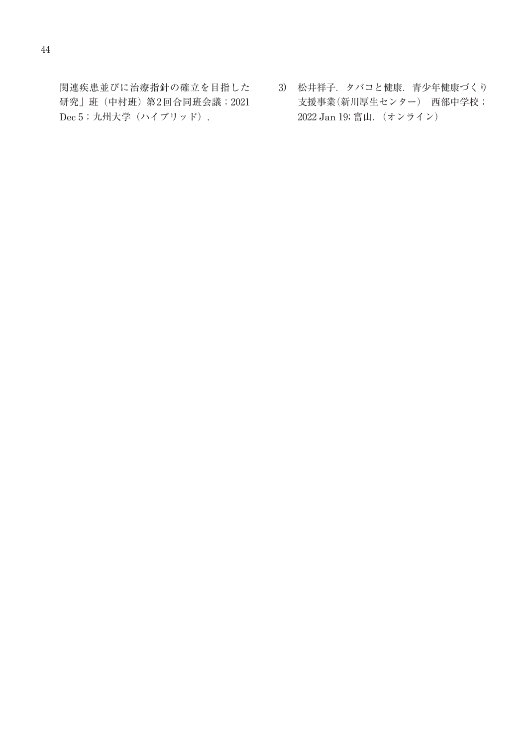関連疾患並びに治療指針の確立を目指した 研究」班(中村班)第 2回合同班会議; 2021 Dec 5; 九州大学(ハイブリッド).

3) 松井祥子.タバコと健康.青少年健康づくり 支援事業(新川厚生センター) 西部中学校; 2022 Jan 19; 富山.(オンライン)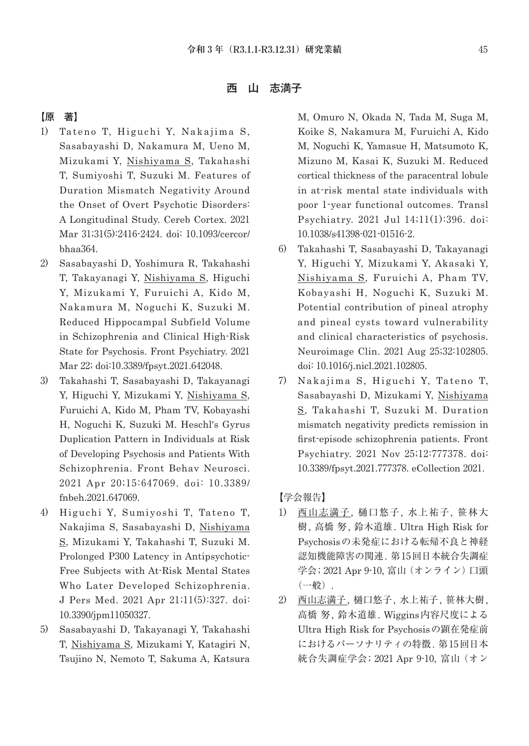西 山 志満子

## 【原 著】

- 1) Tateno T, Higuchi Y, Nakajima S, Sasabayashi D, Nakamura M, Ueno M, Mizukami Y, Nishiyama S, Takahashi T, Sumiyoshi T, Suzuki M. Features of Duration Mismatch Negativity Around the Onset of Overt Psychotic Disorders: A Longitudinal Study. Cereb Cortex. 2021 Mar 31;31(5):2416-2424. doi: 10.1093/cercor/ bhaa364.
- 2) Sasabayashi D, Yoshimura R, Takahashi T, Takayanagi Y, Nishiyama S, Higuchi Y, Mizukami Y, Furuichi A, Kido M, Nakamura M, Noguchi K, Suzuki M. Reduced Hippocampal Subfield Volume in Schizophrenia and Clinical High-Risk State for Psychosis. Front Psychiatry. 2021 Mar 22; doi:10.3389/fpsyt.2021.642048.
- 3) Takahashi T, Sasabayashi D, Takayanagi Y, Higuchi Y, Mizukami Y, Nishiyama S, Furuichi A, Kido M, Pham TV, Kobayashi H, Noguchi K, Suzuki M. Heschl's Gyrus Duplication Pattern in Individuals at Risk of Developing Psychosis and Patients With Schizophrenia. Front Behav Neurosci. 2021 Apr 20;15:647069. doi: 10.3389/ fnbeh.2021.647069.
- 4) Higuchi Y, Sumiyoshi T, Tateno T, Nakajima S, Sasabayashi D, Nishiyama S, Mizukami Y, Takahashi T, Suzuki M. Prolonged P300 Latency in Antipsychotic-Free Subjects with At-Risk Mental States Who Later Developed Schizophrenia. J Pers Med. 2021 Apr 21;11(5):327. doi: 10.3390/jpm11050327.
- 5) Sasabayashi D, Takayanagi Y, Takahashi T, Nishiyama S, Mizukami Y, Katagiri N, Tsujino N, Nemoto T, Sakuma A, Katsura

M, Omuro N, Okada N, Tada M, Suga M, Koike S, Nakamura M, Furuichi A, Kido M, Noguchi K, Yamasue H, Matsumoto K, Mizuno M, Kasai K, Suzuki M. Reduced cortical thickness of the paracentral lobule in at-risk mental state individuals with poor 1-year functional outcomes. Transl Psychiatry. 2021 Jul 14;11(1):396. doi: 10.1038/s41398-021-01516-2.

- 6) Takahashi T, Sasabayashi D, Takayanagi Y, Higuchi Y, Mizukami Y, Akasaki Y, Nishiyama S, Furuichi A, Pham TV, Kobayashi H, Noguchi K, Suzuki M. Potential contribution of pineal atrophy and pineal cysts toward vulnerability and clinical characteristics of psychosis. Neuroimage Clin. 2021 Aug 25;32:102805. doi: 10.1016/j.nicl.2021.102805.
- 7) Nakajima S, Higuchi Y, Tateno T, Sasabayashi D, Mizukami Y, Nishiyama S, Takahashi T, Suzuki M. Duration mismatch negativity predicts remission in first-episode schizophrenia patients. Front Psychiatry. 2021 Nov 25;12:777378. doi: 10.3389/fpsyt.2021.777378. eCollection 2021.

#### 【学会報告】

- 1) 西山志満子, 樋口悠子, 水上祐子, 笹林大 樹, 高橋 努, 鈴木道雄. Ultra High Risk for Psychosisの未発症における転帰不良と神経 認知機能障害の関連. 第 15回日本統合失調症 学会; 2021 Apr 9-10, 富山 (オンライン)口頭 (一般).
- 2) 西山志満子, 樋口悠子, 水上祐子, 笹林大樹, 高橋 努, 鈴木道雄. Wiggins内容尺度による Ultra High Risk for Psychosisの顕在発症前 におけるパーソナリティの特徴. 第 15回日本 統合失調症学会; 2021 Apr 9-10, 富山(オン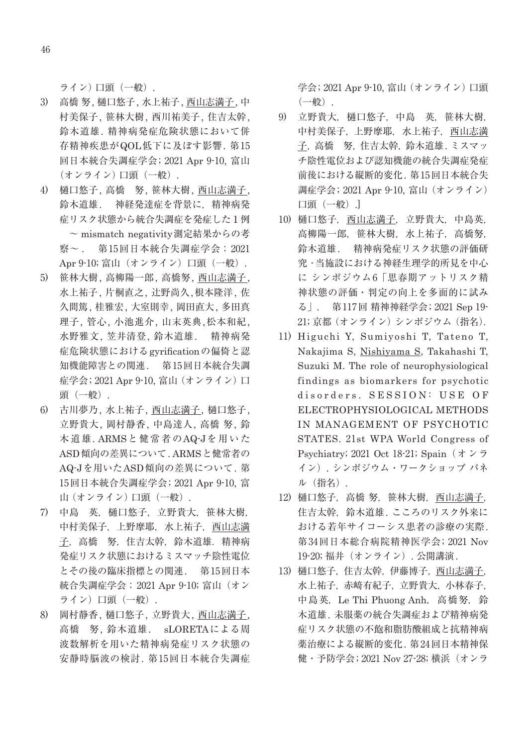ライン)口頭(一般).

- 3) 高橋 努, 樋口悠子, 水上祐子, 西山志満子, 中 村美保子, 笹林大樹, 西川祐美子, 住吉太幹, 鈴木道雄. 精神病発症危険状態において併 存精神疾患がQOL低下に及ぼす影響. 第 15 回日本統合失調症学会; 2021 Apr 9-10, 富山 (オンライン)口頭(一般).
- 4) 樋口悠子, 高橋 努, 笹林大樹, 西山志満子, 鈴木道雄. 神経発達症を背景に,精神病発 症リスク状態から統合失調症を発症した1例 ~ mismatch negativity測定結果からの考 察~ . 第 15回日本統合失調症学会;2021 Apr 9-10; 富山 (オンライン) 口頭 (一般).
- 5) 笹林大樹, 高柳陽一郎, 高橋努, 西山志満子, 水上祐子, 片桐直之, 辻野尚久,根本隆洋, 佐 久間篤, 桂雅宏, 大室則幸, 岡田直大, 多田真 理子, 管心, 小池進介, 山末英典,松本和紀, 水野雅文, 笠井清登, 鈴木道雄. 精神病発 症危険状態におけるgyrificationの偏倚と認 知機能障害との関連. 第 15回日本統合失調 症学会; 2021 Apr 9-10, 富山 (オンライン)口 頭(一般).
- 6) 古川夢乃, 水上祐子, 西山志満子, 樋口悠子, 立野貴大, 岡村静香, 中島達人, 高橋 努, 鈴 木道雄. ARMSと健常者のAQ-Jを用いた ASD傾向の差異について. ARMSと健常者の AQ-Jを用いたASD傾向の差異について. 第 15回日本統合失調症学会; 2021 Apr 9-10, 富 山(オンライン)口頭(一般).
- 7) 中島 英,樋口悠子,立野貴大,笹林大樹, 中村美保子,上野摩耶,水上祐子,西山志満 子, 高橋 努, 住吉太幹, 鈴木道雄. 精神病 発症リスク状態におけるミスマッチ陰性電位 とその後の臨床指標との関連. 第 15回日本 統合失調症学会; 2021 Apr 9-10; 富山 (オン ライン)口頭 (一般).
- 8) 岡村静香, 樋口悠子, 立野貴大, 西山志満子, 高橋 努, 鈴木道雄. sLORETAによる周 波数解析を用いた精神病発症リスク状態の 安静時脳波の検討. 第15回日本統合失調症

学会; 2021 Apr 9-10, 富山 (オンライン) 口頭 (一般).

- 9) 立野貴大,樋口悠子,中島 英,笹林大樹, 中村美保子,上野摩耶,水上祐子,西山志満 子,高橋 努,住吉太幹,鈴木道雄. ミスマッ チ陰性電位および認知機能の統合失調症発症 前後における縦断的変化. 第 15回日本統合失 調症学会; 2021 Apr 9-10, 富山(オンライン) 口頭(一般).]
- 10) 樋口悠子,西山志満子,立野貴大,中島英, 高柳陽一郎, 笹林大樹, 水上祐子, 高橋努, 鈴木道雄. 精神病発症リスク状態の評価研 究 -当施設における神経生理学的所見を中心 に シンポジウム6「思春期アットリスク精 神状態の評価・判定の向上を多面的に試み る」. 第 117回 精神神経学会; 2021 Sep 19- 21; 京都(オンライン)シンポジウム(指名).
- 11) Higuchi Y, Sumiyoshi T, Tateno T, Nakajima S, Nishiyama S, Takahashi T, Suzuki M. The role of neurophysiological findings as biomarkers for psychotic disorders. SESSION: USE OF ELECTROPHYSIOLOGICAL METHODS IN MANAGEMENT OF PSYCHOTIC STATES. 21st WPA World Congress of Psychiatry; 2021 Oct 18-21; Spain(オンラ イン). シンポジウム・ワークショップ パネ ル(指名).
- 12) 樋口悠子, 高橋 努, 笹林大樹, 西山志満子, 住吉太幹,鈴木道雄. こころのリスク外来に おける若年サイコーシス患者の診療の実際. 第 34回日本総合病院精神医学会; 2021 Nov 19-20; 福井(オンライン). 公開講演.
- 13) 樋口悠子,住吉太幹,伊藤博子,西山志満子, 水上祐子,赤﨑有紀子,立野貴大,小林春子, 中島英, Le Thi Phuong Anh, 高橋努, 鈴 木道雄. 未服薬の統合失調症および精神病発 症リスク状態の不飽和脂肪酸組成と抗精神病 薬治療による縦断的変化. 第 24回日本精神保 健・予防学会; 2021 Nov 27-28; 横浜(オンラ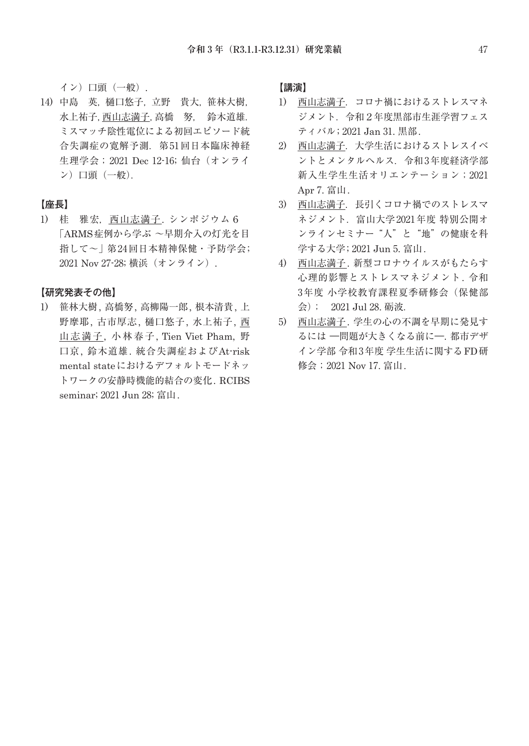イン)口頭(一般).

14) 中島 英,樋口悠子,立野 貴大,笹林大樹, 水上祐子,西山志満子,高橋 努, 鈴木道雄. ミスマッチ陰性電位による初回エピソード統 合失調症の寛解予測.第 51回日本臨床神経 生理学会;2021 Dec 12-16; 仙台(オンライ ン)口頭(一般).

#### 【座長】

1) 桂 雅宏,西山志満子. シンポジウム6 「ARMS症例から学ぶ ~早期介入の灯光を目 指して~」第 24回日本精神保健・予防学会; 2021 Nov 27-28; 横浜 (オンライン).

【研究発表その他】

1) 笹林大樹, 高橋努, 高柳陽一郎, 根本清貴, 上 野摩耶, 古市厚志, 樋口悠子, 水上祐子, 西 山志満子, 小林春子, Tien Viet Pham, 野 口京, 鈴木道雄. 統合失調症およびAt-risk mental stateにおけるデフォルトモードネッ トワークの安静時機能的結合の変化. RCIBS seminar; 2021 Jun 28; 富山.

### 【講演】

- 1) 西山志満子. コロナ禍におけるストレスマネ ジメント.令和2年度黒部市生涯学習フェス ティバル; 2021 Jan 31. 黒部.
- 2) 西山志満子. 大学生活におけるストレスイベ ントとメンタルヘルス. 令和3年度経済学部 新入生学生生活オリエンテーション;2021 Apr 7. 富山.
- 3) 西山志満子. 長引くコロナ禍でのストレスマ ネジメント.富山大学 2021年度 特別公開オ ンラインセミナー"人"と"地"の健康を科 学する大学; 2021 Jun 5. 富山.
- 4) 西山志満子. 新型コロナウイルスがもたらす 心理的影響とストレスマネジメント. 令和 3年度 小学校教育課程夏季研修会(保健部 会); 2021 Jul 28. 砺波.
- 5) 西山志満子. 学生の心の不調を早期に発見す るには ―問題が大きくなる前に―. 都市デザ イン学部 令和3年度 学生生活に関する FD研 修会;2021 Nov 17. 富山.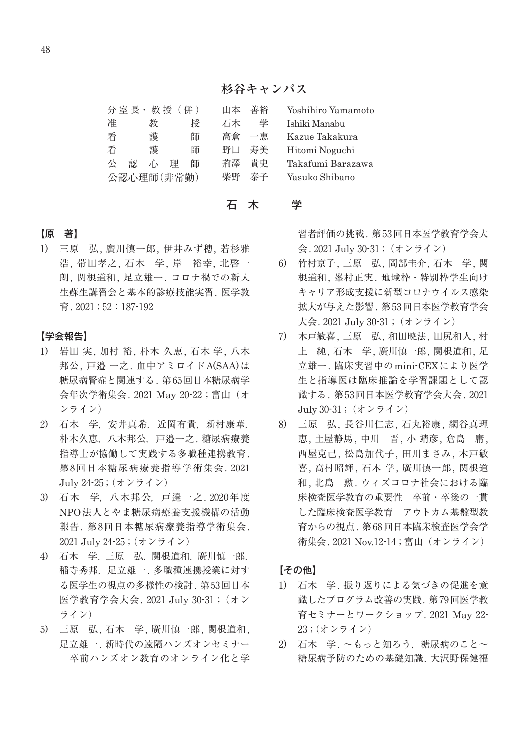## **杉谷キャンパス**

|            |   |   | 分室長· 教授 (併) |   | 山本 | 善裕 | Yoshihiro Yamamoto |
|------------|---|---|-------------|---|----|----|--------------------|
| 准          |   | 教 |             | 授 | 石木 | 学  | Ishiki Manabu      |
| 看          |   | 護 |             | 師 | 高倉 | 一恵 | Kazue Takakura     |
| 看          |   | 護 |             | 師 | 野口 | 寿美 | Hitomi Noguchi     |
| 癸          | 認 | 心 | 理           | 師 | 荊澤 | 昔中 | Takafumi Barazawa  |
| 公認心理師(非常勤) |   |   |             |   | 柴野 | 泰子 | Yasuko Shibano     |

#### 石 木 学

### 【原 著】

1) 三原 弘, 廣川慎一郎, 伊井みず穂, 若杉雅 浩, 帯田孝之, 石木 学, 岸 裕幸, 北啓一 朗, 関根道和, 足立雄一. コロナ禍での新入 生蘇生講習会と基本的診療技能実習. 医学教 育. 2021 ; 52:187-192

#### 【学会報告】

- 1) 岩田 実, 加村 裕, 朴木 久恵, 石木 学, 八木 邦公, 戸邉 一之. 血中アミロイドA(SAA)は 糖尿病腎症と関連する. 第 65回日本糖尿病学 会年次学術集会. 2021 May 20-22 ; 富山(オ ンライン)
- 2) 石木 学,安井真希,近岡有貴,新村康華, 朴木久恵,八木邦公,戸邉一之. 糖尿病療養 指導士が協働して実践する多職種連携教育. 第8回日本糖尿病療養指導学術集会. 2021 July 24-25 ; (オンライン)
- 3) 石木 学,八木邦公,戸邉一之. 2020年度 NPO法人とやま糖尿病療養支援機構の活動 報告. 第8回日本糖尿病療養指導学術集会. 2021 July 24-25 ; (オンライン)
- 4) 石木 学,三原 弘,関根道和,廣川慎一郎, 稲寺秀邦,足立雄一. 多職種連携授業に対す る医学生の視点の多様性の検討. 第 53回日本 医学教育学会大会. 2021 July 30-31 ;(オン ライン)
- 5) 三原 弘, 石木 学, 廣川慎一郎, 関根道和, 足立雄一. 新時代の遠隔ハンズオンセミナー 卒前ハンズオン教育のオンライン化と学

習者評価の挑戦. 第 53回日本医学教育学会大 会. 2021 July 30-31 ;(オンライン)

- 6) 竹村京子, 三原 弘, 岡部圭介, 石木 学, 関 根道和, 峯村正実. 地域枠・特別枠学生向け キャリア形成支援に新型コロナウイルス感染 拡大が与えた影響. 第 53回日本医学教育学会 大会. 2021 July 30-31 ;(オンライン)
- 7) 木戸敏喜, 三原 弘, 和田暁法, 田尻和人, 村 上 純, 石木 学, 廣川慎一郎, 関根道和, 足 立雄一. 臨床実習中のmini-CEXにより医学 生と指導医は臨床推論を学習課題として認 識する. 第 53回日本医学教育学会大会. 2021 July 30-31 ;(オンライン)
- 8) 三原 弘, 長谷川仁志, 石丸裕康, 網谷真理 恵, 土屋静馬, 中川 晋, 小 靖彦, 倉島 庸, 西屋克己, 松島加代子, 田川まさみ, 木戸敏 喜, 高村昭輝, 石木 学, 廣川慎一郎, 関根道 和, 北島 勲. ウィズコロナ社会における臨 床検査医学教育の重要性 卒前・卒後の一貫 した臨床検査医学教育 アウトカム基盤型教 育からの視点. 第 68回日本臨床検査医学会学 術集会. 2021 Nov.12-14 ; 富山(オンライン)

【その他】

- 1) 石木 学. 振り返りによる気づきの促進を意 識したプログラム改善の実践. 第 79回医学教 育セミナーとワークショップ. 2021 May 22- 23 ; (オンライン)
- 2) 石木 学. ~もっと知ろう,糖尿病のこと~ 糖尿病予防のための基礎知識. 大沢野保健福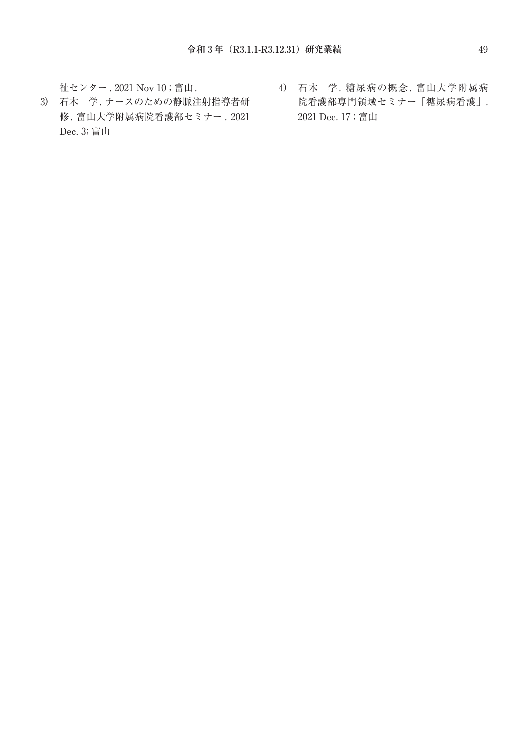祉センター . 2021 Nov 10 ; 富山.

- 3) 石木 学. ナースのための静脈注射指導者研 修. 富山大学附属病院看護部セミナー . 2021 Dec. 3; 富山
- 4) 石木 学. 糖尿病の概念. 富山大学附属病 院看護部専門領域セミナー「糖尿病看護」. 2021 Dec. 17 ; 富山